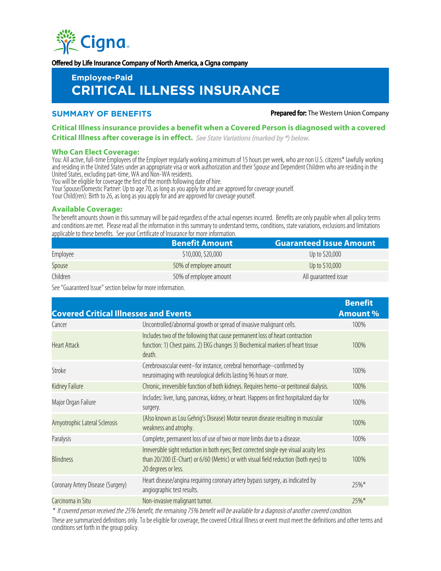

Offered by Life Insurance Company of North America, a Cigna company

# **Employee-Paid CRITICAL ILLNESS INSURANCE**

**SUMMARY OF BENEFITS Prepared for:** The Western Union Company

## **Critical Illness insurance provides a benefit when a Covered Person is diagnosed with a covered Critical Illness after coverage is in effect.** See State Variations (marked by \*) below.

#### **Who Can Elect Coverage:**

You: All active, full-time Employees of the Employer regularly working a minimum of 15 hours per week, who are non U.S. citizens\* lawfully working and residing in the United States under an appropriate visa or work authorization and their Spouse and Dependent Children who are residing in the United States, excluding part-time, WA and Non-WA residents.

You will be eligible for coverage the first of the month following date of hire.

Your Spouse/Domestic Partner: Up to age 70, as long as you apply for and are approved for coverage yourself.

Your Child(ren): Birth to 26, as long as you apply for and are approved for coverage yourself.

### **Available Coverage:**

The benefit amounts shown in this summary will be paid regardless of the actual expenses incurred. Benefits are only payable when all policy terms and conditions are met. Please read all the information in this summary to understand terms, conditions, state variations, exclusions and limitations applicable to these benefits. See your Certificate of Insurance for more information.

|          | <b>Benefit Amount</b>  | <b>Guaranteed Issue Amount</b> |  |  |
|----------|------------------------|--------------------------------|--|--|
| Employee | \$10,000, \$20,000     | Up to \$20,000                 |  |  |
| Spouse   | 50% of employee amount | Up to \$10,000                 |  |  |
| Children | 50% of employee amount | All quaranteed issue           |  |  |

See "Guaranteed Issue" section below for more information.

| <b>Covered Critical Illnesses and Events</b> |                                                                                                                                                                                                        | <b>Benefit</b><br><b>Amount %</b> |
|----------------------------------------------|--------------------------------------------------------------------------------------------------------------------------------------------------------------------------------------------------------|-----------------------------------|
| Cancer                                       | Uncontrolled/abnormal growth or spread of invasive malignant cells.                                                                                                                                    | 100%                              |
| <b>Heart Attack</b>                          | Includes two of the following that cause permanent loss of heart contraction<br>function: 1) Chest pains. 2) EKG changes 3) Biochemical markers of heart tissue<br>death.                              | 100%                              |
| Stroke                                       | Cerebrovascular event-for instance, cerebral hemorrhage-confirmed by<br>neuroimaging with neurological deficits lasting 96 hours or more.                                                              | 100%                              |
| Kidney Failure                               | Chronic, irreversible function of both kidneys. Requires hemo-or peritoneal dialysis.                                                                                                                  | 100%                              |
| Major Organ Failure                          | Includes: liver, lung, pancreas, kidney, or heart. Happens on first hospitalized day for<br>surgery.                                                                                                   | 100%                              |
| Amyotrophic Lateral Sclerosis                | (Also known as Lou Gehrig's Disease) Motor neuron disease resulting in muscular<br>weakness and atrophy.                                                                                               | 100%                              |
| Paralysis                                    | Complete, permanent loss of use of two or more limbs due to a disease.                                                                                                                                 | 100%                              |
| <b>Blindness</b>                             | Irreversible sight reduction in both eyes; Best corrected single eye visual acuity less<br>than 20/200 (E-Chart) or 6/60 (Metric) or with visual field reduction (both eyes) to<br>20 degrees or less. | 100%                              |
| Coronary Artery Disease (Surgery)            | Heart disease/angina requiring coronary artery bypass surgery, as indicated by<br>angiographic test results.                                                                                           | 25%*                              |
| Carcinoma in Situ                            | Non-invasive malignant tumor.                                                                                                                                                                          | $25\%*$                           |

\* If covered person received the 25% benefit, the remaining 75% benefit will be available for a diagnosis of another covered condition. These are summarized definitions only. To be eligible for coverage, the covered Critical Illness or event must meet the definitions and other terms and conditions set forth in the group policy.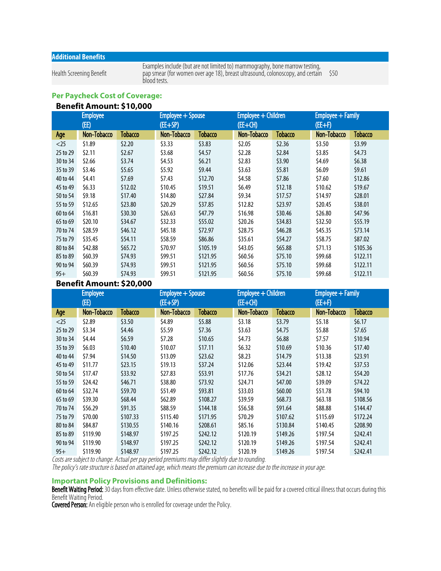## **Additional Benefits**

Health Screening Benefit

Examples include (but are not limited to) mammography, bone marrow testing, pap smear (for women over age 18), breast ultrasound, colonoscopy, and certain blood tests. \$50

# **Per Paycheck Cost of Coverage:**

| <b>Benefit Amount: \$10,000</b> |  |
|---------------------------------|--|
|---------------------------------|--|

| <b>Employee</b> |             | Employee + Spouse |             | Employee + Children |             | Employee + Family |             |          |
|-----------------|-------------|-------------------|-------------|---------------------|-------------|-------------------|-------------|----------|
| (EE)            |             | (EE+SP)           |             | $(EE+CH)$           |             | $(EE+F)$          |             |          |
| Age             | Non-Tobacco | Tobacco           | Non-Tobacco | Tobacco             | Non-Tobacco | <b>Tobacco</b>    | Non-Tobacco | Tobacco  |
| $<$ 25          | \$1.89      | \$2.20            | \$3.33      | \$3.83              | \$2.05      | \$2.36            | \$3.50      | \$3.99   |
| 25 to 29        | \$2.11      | \$2.67            | \$3.68      | \$4.57              | \$2.28      | \$2.84            | \$3.85      | \$4.73   |
| 30 to 34        | \$2.66      | \$3.74            | \$4.53      | \$6.21              | \$2.83      | \$3.90            | \$4.69      | \$6.38\$ |
| 35 to 39        | \$3.46      | \$5.65            | \$5.92      | \$9.44              | \$3.63      | \$5.81            | \$6.09      | \$9.61   |
| 40 to 44        | \$4.41      | \$7.69            | \$7.43      | \$12.70             | \$4.58      | \$7.86            | \$7.60      | \$12.86  |
| 45 to 49        | \$6.33      | \$12.02           | \$10.45     | \$19.51             | \$6.49      | \$12.18           | \$10.62     | \$19.67  |
| 50 to 54        | \$9.18      | \$17.40           | \$14.80     | \$27.84             | \$9.34      | \$17.57           | \$14.97     | \$28.01  |
| 55 to 59        | \$12.65     | \$23.80           | \$20.29     | \$37.85             | \$12.82     | \$23.97           | \$20.45     | \$38.01  |
| 60 to 64        | \$16.81     | \$30.30           | \$26.63     | \$47.79             | \$16.98     | \$30.46           | \$26.80     | \$47.96  |
| 65 to 69        | \$20.10     | \$34.67           | \$32.33     | \$55.02             | \$20.26     | \$34.83           | \$32.50     | \$55.19  |
| 70 to 74        | \$28.59     | \$46.12           | \$45.18     | \$72.97             | \$28.75     | \$46.28           | \$45.35     | \$73.14  |
| 75 to 79        | \$35.45     | \$54.11           | \$58.59     | \$86.86             | \$35.61     | \$54.27           | \$58.75     | \$87.02  |
| 80 to 84        | \$42.88     | \$65.72           | \$70.97     | \$105.19            | \$43.05     | \$65.88           | \$71.13     | \$105.36 |
| 85 to 89        | \$60.39     | \$74.93           | \$99.51     | \$121.95            | \$60.56     | \$75.10           | \$99.68     | \$122.11 |
| 90 to 94        | \$60.39     | \$74.93           | \$99.51     | \$121.95            | \$60.56     | \$75.10           | \$99.68     | \$122.11 |
| $95+$           | \$60.39     | \$74.93           | \$99.51     | \$121.95            | \$60.56     | \$75.10           | \$99.68     | \$122.11 |

## **Benefit Amount: \$20,000**

| <b>Employee</b><br>(EE) |             | $Employee + Spouse$<br>(EE+SP) |             | Employee + Children<br>(EE+CH) |             | Employee + Family<br>$(EE+F)$ |             |                |
|-------------------------|-------------|--------------------------------|-------------|--------------------------------|-------------|-------------------------------|-------------|----------------|
| Age                     | Non-Tobacco | <b>Tobacco</b>                 | Non-Tobacco | Tobacco                        | Non-Tobacco | Tobacco                       | Non-Tobacco | <b>Tobacco</b> |
| $<$ 25                  | \$2.89      | \$3.50                         | \$4.89      | \$5.88                         | \$3.18      | \$3.79                        | \$5.18      | \$6.17         |
| 25 to 29                | \$3.34      | \$4.46                         | \$5.59      | \$7.36                         | \$3.63      | \$4.75                        | \$5.88      | \$7.65         |
| 30 to 34                | \$4.44      | \$6.59                         | \$7.28      | \$10.65                        | \$4.73      | \$6.88                        | \$7.57      | \$10.94        |
| 35 to 39                | \$6.03      | \$10.40                        | \$10.07     | \$17.11                        | \$6.32      | \$10.69                       | \$10.36     | \$17.40        |
| 40 to 44                | \$7.94      | \$14.50                        | \$13.09     | \$23.62                        | \$8.23      | \$14.79                       | \$13.38     | \$23.91        |
| 45 to 49                | \$11.77     | \$23.15                        | \$19.13     | \$37.24                        | \$12.06     | \$23.44                       | \$19.42     | \$37.53        |
| 50 to 54                | \$17.47     | \$33.92                        | \$27.83     | \$53.91                        | \$17.76     | \$34.21                       | \$28.12     | \$54.20        |
| 55 to 59                | \$24.42     | \$46.71                        | \$38.80     | \$73.92                        | \$24.71     | \$47.00                       | \$39.09     | \$74.22        |
| 60 to 64                | \$32.74     | \$59.70                        | \$51.49     | \$93.81                        | \$33.03     | \$60.00                       | \$51.78     | \$94.10        |
| 65 to 69                | \$39.30     | \$68.44                        | \$62.89     | \$108.27                       | \$39.59     | \$68.73                       | \$63.18     | \$108.56       |
| 70 to 74                | \$56.29     | \$91.35                        | \$88.59     | \$144.18                       | \$56.58     | \$91.64                       | \$88.88     | \$144.47       |
| 75 to 79                | \$70.00     | \$107.33                       | \$115.40    | \$171.95                       | \$70.29     | \$107.62                      | \$115.69    | \$172.24       |
| 80 to 84                | \$84.87     | \$130.55                       | \$140.16    | \$208.61                       | \$85.16     | \$130.84                      | \$140.45    | \$208.90       |
| 85 to 89                | \$119.90    | \$148.97                       | \$197.25    | \$242.12                       | \$120.19    | \$149.26                      | \$197.54    | \$242.41       |
| 90 to 94                | \$119.90    | \$148.97                       | \$197.25    | \$242.12                       | \$120.19    | \$149.26                      | \$197.54    | \$242.41       |
| $95+$                   | \$119.90    | \$148.97                       | \$197.25    | \$242.12                       | \$120.19    | \$149.26                      | \$197.54    | \$242.41       |

Costs are subject to change. Actual per pay period premiums may differ slightly due to rounding.

The policy's rate structure is based on attained age, which means the premium can increase due to the increase in your age.

## **Important Policy Provisions and Definitions:**

Benefit Waiting Period: 30 days from effective date. Unless otherwise stated, no benefits will be paid for a covered critical illness that occurs during this Benefit Waiting Period.

Covered Person: An eligible person who is enrolled for coverage under the Policy.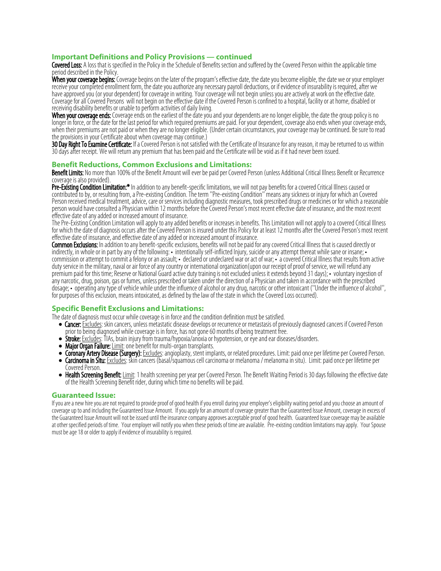## **Important Definitions and Policy Provisions — continued**

Covered Loss: A loss that is specified in the Policy in the Schedule of Benefits section and suffered by the Covered Person within the applicable time period described in the Policy.

When your coverage begins: Coverage begins on the later of the program's effective date, the date you become eligible, the date we or your employer receive your completed enrollment form, the date you authorize any necessary payroll deductions, or if evidence of insurability is required, after we have approved you (or your dependent) for coverage in writing. Your coverage will not begin unless you are actively at work on the effective date. Coverage for all Covered Persons will not begin on the effective date if the Covered Person is confined to a hospital, facility or at home, disabled or receiving disability benefits or unable to perform activities of daily living.

When your coverage ends: Coverage ends on the earliest of the date you and your dependents are no longer eligible, the date the group policy is no longer in force, or the date for the last period for which required premiums are paid. For your dependent, coverage also ends when your coverage ends, when their premiums are not paid or when they are no longer eligible. (Under certain circumstances, your coverage may be continued. Be sure to read the provisions in your Certificate about when coverage may continue.)

30 Day Right To Examine Certificate: If a Covered Person is not satisfied with the Certificate of Insurance for any reason, it may be returned to us within 30 days after receipt. We will return any premium that has been paid and the Certificate will be void as if it had never been issued.

## **Benefit Reductions, Common Exclusions and Limitations:**

Benefit Limits: No more than 100% of the Benefit Amount will ever be paid per Covered Person (unless Additional Critical Illness Benefit or Recurrence coverage is also provided).

Pre-Existing Condition Limitation:\* In addition to any benefit-specific limitations, we will not pay benefits for a covered Critical Illness caused or contributed to by, or resulting from, a Pre-existing Condition. The term ''Pre-existing Condition'' means any sickness or injury for which an Covered Person received medical treatment, advice, care or services including diagnostic measures, took prescribed drugs or medicines or for which a reasonable person would have consulted a Physician within 12 months before the Covered Person's most recent effective date of insurance, and the most recent effective date of any added or increased amount of insurance.

The Pre-Existing Condition Limitation will apply to any added benefits or increases in benefits. This Limitation will not apply to a covered Critical Illness for which the date of diagnosis occurs after the Covered Person is insured under this Policy for at least 12 months after the Covered Person's most recent effective date of insurance, and effective date of any added or increased amount of insurance.

Common Exclusions: In addition to any benefit-specific exclusions, benefits will not be paid for any covered Critical Illness that is caused directly or indirectly, in whole or in part by any of the following: • intentionally self-inflicted Injury, suicide or any attempt thereat while sane or insane; • commission or attempt to commit a felony or an assault; • declared or undeclared war or act of war; • a covered Critical Illness that results from active duty service in the military, naval or air force of any country or international organization(upon our receipt of proof of service, we will refund any premium paid for this time; Reserve or National Guard active duty training is not excluded unless it extends beyond 31 days); • voluntary ingestion of any narcotic, drug, poison, gas or fumes, unless prescribed or taken under the direction of a Physician and taken in accordance with the prescribed dosage; • operating any type of vehicle while under the influence of alcohol or any drug, narcotic or other intoxicant (''Under the influence of alcohol'', for purposes of this exclusion, means intoxicated, as defined by the law of the state in which the Covered Loss occurred).

## **Specific Benefit Exclusions and Limitations:**

The date of diagnosis must occur while coverage is in force and the condition definition must be satisfied.

- Cancer: **Excludes**: skin cancers, unless metastatic disease develops or recurrence or metastasis of previously diagnosed cancers if Covered Person prior to being diagnosed while coverage is in force, has not gone 60 months of being treatment free.
- **Stroke:** Excludes: TIAs, brain injury from trauma/hypoxia/anoxia or hypotension, or eye and ear diseases/disorders.
- Major Organ Failure: Limit: one benefit for multi-organ transplants.
- Coronary Artery Disease (Surgery): Excludes: angioplasty, stent implants, or related procedures. Limit: paid once per lifetime per Covered Person.
- Garcinoma in Situ: Excludes: skin cancers (basal/squamous cell carcinoma or melanoma / melanoma in situ). Limit: paid once per lifetime per Covered Person.
- $\bullet$  Health Screening Benefit: Limit: 1 health screening per year per Covered Person. The Benefit Waiting Period is 30 days following the effective date of the Health Screening Benefit rider, during which time no benefits will be paid.

#### **Guaranteed Issue:**

If you are a new hire you are not required to provide proof of good health if you enroll during your employer's eligibility waiting period and you choose an amount of coverage up to and including the Guaranteed Issue Amount. If you apply for an amount of coverage greater than the Guaranteed Issue Amount, coverage in excess of the Guaranteed Issue Amount will not be issued until the insurance company approves acceptable proof of good health. Guaranteed Issue coverage may be available at other specified periods of time. Your employer will notify you when these periods of time are available. Pre-existing condition limitations may apply. Your Spouse must be age 18 or older to apply if evidence of insurability is required.